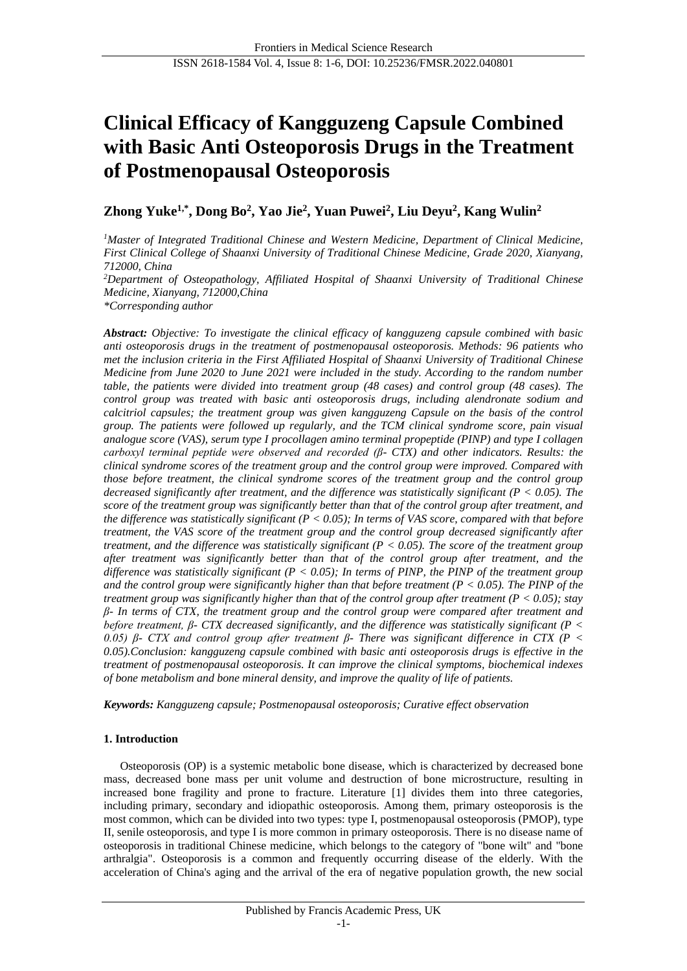# **Clinical Efficacy of Kangguzeng Capsule Combined with Basic Anti Osteoporosis Drugs in the Treatment of Postmenopausal Osteoporosis**

**Zhong Yuke1,\*, Dong Bo<sup>2</sup> , Yao Jie<sup>2</sup> , Yuan Puwei<sup>2</sup> , Liu Deyu<sup>2</sup> , Kang Wulin<sup>2</sup>**

*<sup>1</sup>Master of Integrated Traditional Chinese and Western Medicine, Department of Clinical Medicine, First Clinical College of Shaanxi University of Traditional Chinese Medicine, Grade 2020, Xianyang, 712000, China*

*<sup>2</sup>Department of Osteopathology, Affiliated Hospital of Shaanxi University of Traditional Chinese Medicine, Xianyang, 712000,China*

*\*Corresponding author*

*Abstract: Objective: To investigate the clinical efficacy of kangguzeng capsule combined with basic anti osteoporosis drugs in the treatment of postmenopausal osteoporosis. Methods: 96 patients who met the inclusion criteria in the First Affiliated Hospital of Shaanxi University of Traditional Chinese Medicine from June 2020 to June 2021 were included in the study. According to the random number table, the patients were divided into treatment group (48 cases) and control group (48 cases). The control group was treated with basic anti osteoporosis drugs, including alendronate sodium and calcitriol capsules; the treatment group was given kangguzeng Capsule on the basis of the control group. The patients were followed up regularly, and the TCM clinical syndrome score, pain visual analogue score (VAS), serum type I procollagen amino terminal propeptide (PINP) and type I collagen carboxyl terminal peptide were observed and recorded (β- CTX) and other indicators. Results: the clinical syndrome scores of the treatment group and the control group were improved. Compared with those before treatment, the clinical syndrome scores of the treatment group and the control group decreased significantly after treatment, and the difference was statistically significant (P < 0.05). The score of the treatment group was significantly better than that of the control group after treatment, and the difference was statistically significant (P < 0.05); In terms of VAS score, compared with that before treatment, the VAS score of the treatment group and the control group decreased significantly after treatment, and the difference was statistically significant*  $(P < 0.05)$ *. The score of the treatment group after treatment was significantly better than that of the control group after treatment, and the difference was statistically significant (P < 0.05); In terms of PINP, the PINP of the treatment group and the control group were significantly higher than that before treatment*  $(P < 0.05)$ *. The PINP of the treatment group was significantly higher than that of the control group after treatment (P < 0.05); stay β- In terms of CTX, the treatment group and the control group were compared after treatment and before treatment, β- CTX decreased significantly, and the difference was statistically significant (P < 0.05) β- CTX and control group after treatment β- There was significant difference in CTX (P < 0.05).Conclusion: kangguzeng capsule combined with basic anti osteoporosis drugs is effective in the treatment of postmenopausal osteoporosis. It can improve the clinical symptoms, biochemical indexes of bone metabolism and bone mineral density, and improve the quality of life of patients.*

*Keywords: Kangguzeng capsule; Postmenopausal osteoporosis; Curative effect observation*

# **1. Introduction**

Osteoporosis (OP) is a systemic metabolic bone disease, which is characterized by decreased bone mass, decreased bone mass per unit volume and destruction of bone microstructure, resulting in increased bone fragility and prone to fracture. Literature [1] divides them into three categories, including primary, secondary and idiopathic osteoporosis. Among them, primary osteoporosis is the most common, which can be divided into two types: type I, postmenopausal osteoporosis (PMOP), type II, senile osteoporosis, and type I is more common in primary osteoporosis. There is no disease name of osteoporosis in traditional Chinese medicine, which belongs to the category of "bone wilt" and "bone arthralgia". Osteoporosis is a common and frequently occurring disease of the elderly. With the acceleration of China's aging and the arrival of the era of negative population growth, the new social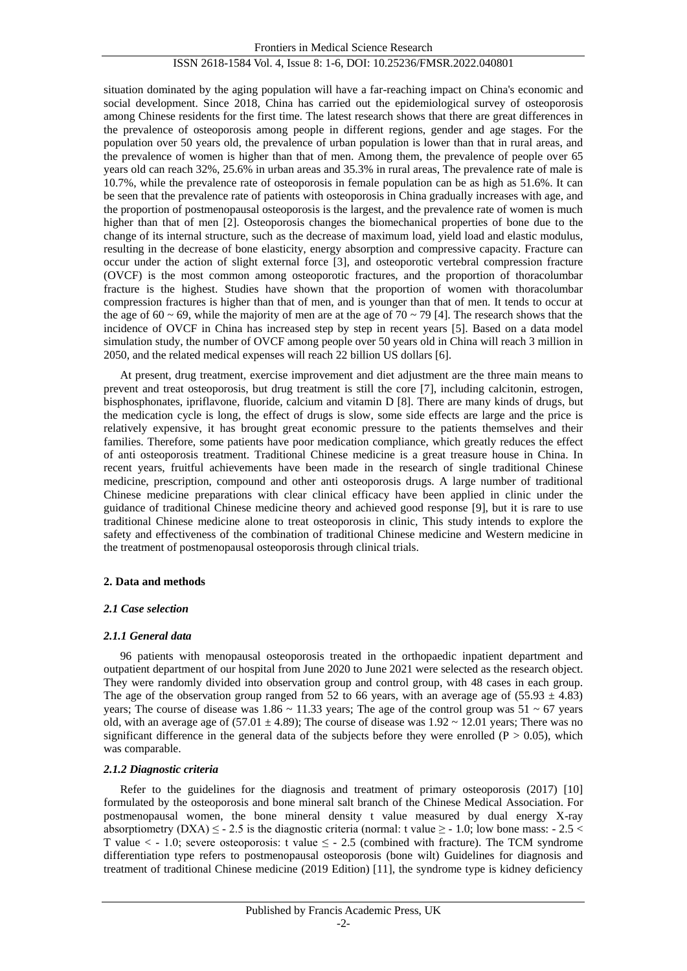situation dominated by the aging population will have a far-reaching impact on China's economic and social development. Since 2018, China has carried out the epidemiological survey of osteoporosis among Chinese residents for the first time. The latest research shows that there are great differences in the prevalence of osteoporosis among people in different regions, gender and age stages. For the population over 50 years old, the prevalence of urban population is lower than that in rural areas, and the prevalence of women is higher than that of men. Among them, the prevalence of people over 65 years old can reach 32%, 25.6% in urban areas and 35.3% in rural areas, The prevalence rate of male is 10.7%, while the prevalence rate of osteoporosis in female population can be as high as 51.6%. It can be seen that the prevalence rate of patients with osteoporosis in China gradually increases with age, and the proportion of postmenopausal osteoporosis is the largest, and the prevalence rate of women is much higher than that of men [2]. Osteoporosis changes the biomechanical properties of bone due to the change of its internal structure, such as the decrease of maximum load, yield load and elastic modulus, resulting in the decrease of bone elasticity, energy absorption and compressive capacity. Fracture can occur under the action of slight external force [3], and osteoporotic vertebral compression fracture (OVCF) is the most common among osteoporotic fractures, and the proportion of thoracolumbar fracture is the highest. Studies have shown that the proportion of women with thoracolumbar compression fractures is higher than that of men, and is younger than that of men. It tends to occur at the age of 60  $\sim$  69, while the majority of men are at the age of 70  $\sim$  79 [4]. The research shows that the incidence of OVCF in China has increased step by step in recent years [5]. Based on a data model simulation study, the number of OVCF among people over 50 years old in China will reach 3 million in 2050, and the related medical expenses will reach 22 billion US dollars [6].

At present, drug treatment, exercise improvement and diet adjustment are the three main means to prevent and treat osteoporosis, but drug treatment is still the core [7], including calcitonin, estrogen, bisphosphonates, ipriflavone, fluoride, calcium and vitamin D [8]. There are many kinds of drugs, but the medication cycle is long, the effect of drugs is slow, some side effects are large and the price is relatively expensive, it has brought great economic pressure to the patients themselves and their families. Therefore, some patients have poor medication compliance, which greatly reduces the effect of anti osteoporosis treatment. Traditional Chinese medicine is a great treasure house in China. In recent years, fruitful achievements have been made in the research of single traditional Chinese medicine, prescription, compound and other anti osteoporosis drugs. A large number of traditional Chinese medicine preparations with clear clinical efficacy have been applied in clinic under the guidance of traditional Chinese medicine theory and achieved good response [9], but it is rare to use traditional Chinese medicine alone to treat osteoporosis in clinic, This study intends to explore the safety and effectiveness of the combination of traditional Chinese medicine and Western medicine in the treatment of postmenopausal osteoporosis through clinical trials.

#### **2. Data and methods**

#### *2.1 Case selection*

#### *2.1.1 General data*

96 patients with menopausal osteoporosis treated in the orthopaedic inpatient department and outpatient department of our hospital from June 2020 to June 2021 were selected as the research object. They were randomly divided into observation group and control group, with 48 cases in each group. The age of the observation group ranged from 52 to 66 years, with an average age of (55.93  $\pm$  4.83) years; The course of disease was  $1.86 \sim 11.33$  years; The age of the control group was  $51 \sim 67$  years old, with an average age of  $(57.01 \pm 4.89)$ ; The course of disease was  $1.92 \approx 12.01$  years; There was no significant difference in the general data of the subjects before they were enrolled ( $P > 0.05$ ), which was comparable.

#### *2.1.2 Diagnostic criteria*

Refer to the guidelines for the diagnosis and treatment of primary osteoporosis (2017) [10] formulated by the osteoporosis and bone mineral salt branch of the Chinese Medical Association. For postmenopausal women, the bone mineral density t value measured by dual energy X-ray absorptiometry (DXA)  $\leq$  - 2.5 is the diagnostic criteria (normal: t value  $\geq$  - 1.0; low bone mass: - 2.5 < T value  $\lt$  - 1.0; severe osteoporosis: t value  $\leq$  - 2.5 (combined with fracture). The TCM syndrome differentiation type refers to postmenopausal osteoporosis (bone wilt) Guidelines for diagnosis and treatment of traditional Chinese medicine (2019 Edition) [11], the syndrome type is kidney deficiency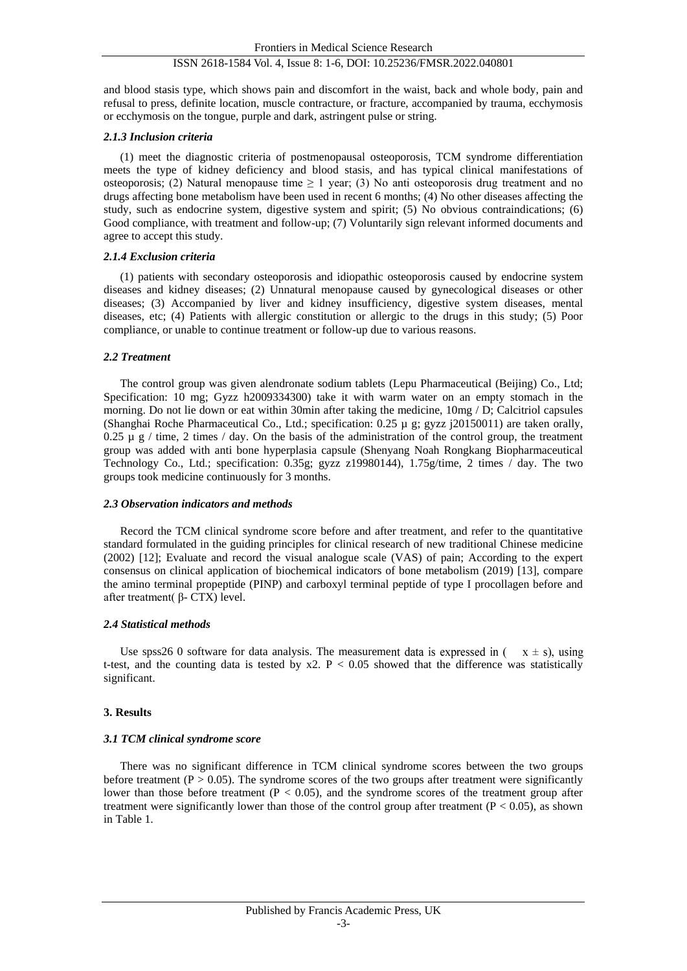and blood stasis type, which shows pain and discomfort in the waist, back and whole body, pain and refusal to press, definite location, muscle contracture, or fracture, accompanied by trauma, ecchymosis or ecchymosis on the tongue, purple and dark, astringent pulse or string.

## *2.1.3 Inclusion criteria*

(1) meet the diagnostic criteria of postmenopausal osteoporosis, TCM syndrome differentiation meets the type of kidney deficiency and blood stasis, and has typical clinical manifestations of osteoporosis; (2) Natural menopause time  $\geq 1$  year; (3) No anti osteoporosis drug treatment and no drugs affecting bone metabolism have been used in recent 6 months; (4) No other diseases affecting the study, such as endocrine system, digestive system and spirit; (5) No obvious contraindications; (6) Good compliance, with treatment and follow-up; (7) Voluntarily sign relevant informed documents and agree to accept this study.

# *2.1.4 Exclusion criteria*

(1) patients with secondary osteoporosis and idiopathic osteoporosis caused by endocrine system diseases and kidney diseases; (2) Unnatural menopause caused by gynecological diseases or other diseases; (3) Accompanied by liver and kidney insufficiency, digestive system diseases, mental diseases, etc; (4) Patients with allergic constitution or allergic to the drugs in this study; (5) Poor compliance, or unable to continue treatment or follow-up due to various reasons.

#### *2.2 Treatment*

The control group was given alendronate sodium tablets (Lepu Pharmaceutical (Beijing) Co., Ltd; Specification: 10 mg; Gyzz h2009334300) take it with warm water on an empty stomach in the morning. Do not lie down or eat within 30min after taking the medicine, 10mg / D; Calcitriol capsules (Shanghai Roche Pharmaceutical Co., Ltd.; specification: 0.25 µ g; gyzz j20150011) are taken orally, 0.25  $\mu$  g / time, 2 times / day. On the basis of the administration of the control group, the treatment group was added with anti bone hyperplasia capsule (Shenyang Noah Rongkang Biopharmaceutical Technology Co., Ltd.; specification: 0.35g; gyzz z19980144), 1.75g/time, 2 times / day. The two groups took medicine continuously for 3 months.

#### *2.3 Observation indicators and methods*

Record the TCM clinical syndrome score before and after treatment, and refer to the quantitative standard formulated in the guiding principles for clinical research of new traditional Chinese medicine (2002) [12]; Evaluate and record the visual analogue scale (VAS) of pain; According to the expert consensus on clinical application of biochemical indicators of bone metabolism (2019) [13], compare the amino terminal propeptide (PINP) and carboxyl terminal peptide of type I procollagen before and after treatment( $β$ - CTX) level.

# *2.4 Statistical methods*

Use spss26 0 software for data analysis. The measurement data is expressed in  $(x \pm s)$ , using t-test, and the counting data is tested by  $x^2$ . P < 0.05 showed that the difference was statistically significant.

# **3. Results**

# *3.1 TCM clinical syndrome score*

There was no significant difference in TCM clinical syndrome scores between the two groups before treatment ( $P > 0.05$ ). The syndrome scores of the two groups after treatment were significantly lower than those before treatment ( $P < 0.05$ ), and the syndrome scores of the treatment group after treatment were significantly lower than those of the control group after treatment ( $P < 0.05$ ), as shown in Table 1.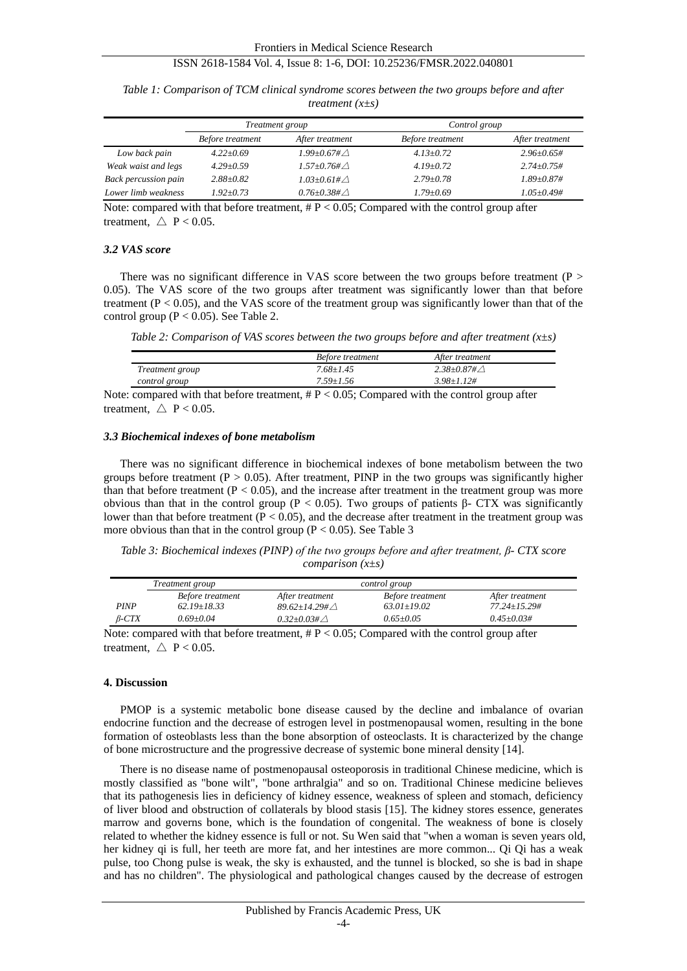|                      | Treatment group  |                              | Control group    |                   |
|----------------------|------------------|------------------------------|------------------|-------------------|
|                      | Before treatment | After treatment              | Before treatment | After treatment   |
| Low back pain        | $4.22 + 0.69$    | $1.99 \pm 0.67 \# \triangle$ | $4.13 + 0.72$    | $2.96 \pm 0.65#$  |
| Weak waist and legs  | $4.29 + 0.59$    | $1.57 + 0.76 \#$             | $4.19 + 0.72$    | $2.74 + 0.75 \#$  |
| Back percussion pain | $2.88 + 0.82$    | $1.03 + 0.61 \#$             | $2.79 + 0.78$    | $1.89 + 0.87#$    |
| Lower limb weakness  | $1.92 + 0.73$    | $0.76 + 0.38 \# \triangle$   | $1.79 + 0.69$    | $1.05 \pm 0.49$ # |

*Table 1: Comparison of TCM clinical syndrome scores between the two groups before and after treatment (x±s)*

Note: compared with that before treatment,  $\#P < 0.05$ ; Compared with the control group after treatment,  $\triangle P < 0.05$ .

#### *3.2 VAS score*

There was no significant difference in VAS score between the two groups before treatment ( $P >$ 0.05). The VAS score of the two groups after treatment was significantly lower than that before treatment  $(P < 0.05)$ , and the VAS score of the treatment group was significantly lower than that of the control group ( $P < 0.05$ ). See Table 2.

*Table 2: Comparison of VAS scores between the two groups before and after treatment (x±s)*

|                        | <i>Before treatment</i> | After treatment  |  |
|------------------------|-------------------------|------------------|--|
| <i>Treatment group</i> | $7.68 + 1.45$           | $2.38 + 0.87 \#$ |  |
| control group          | $7.59 + 1.56$           | 3 98+1 12#       |  |

Note: compared with that before treatment,  $# P < 0.05$ ; Compared with the control group after treatment,  $\triangle P < 0.05$ .

# *3.3 Biochemical indexes of bone metabolism*

There was no significant difference in biochemical indexes of bone metabolism between the two groups before treatment ( $P > 0.05$ ). After treatment, PINP in the two groups was significantly higher than that before treatment  $(P < 0.05)$ , and the increase after treatment in the treatment group was more obvious than that in the control group (P < 0.05). Two groups of patients β- CTX was significantly lower than that before treatment ( $\dot{P}$  < 0.05), and the decrease after treatment in the treatment group was more obvious than that in the control group ( $P < 0.05$ ). See Table 3

*Table 3: Biochemical indexes (PINP) of the two groups before and after treatment, β- CTX score comparison (x±s)*

| <i>Treatment group</i> |                  | control group                |                  |                   |
|------------------------|------------------|------------------------------|------------------|-------------------|
|                        | Before treatment | After treatment              | Before treatment | After treatment   |
| PINP                   | $62.19 + 18.33$  | $89.62 + 14.29 \# \triangle$ | $63.01 + 19.02$  | $77.24 + 15.29$ # |
| β-CTX                  | $0.69 + 0.04$    | $0.32 + 0.03#$ $\triangle$   | $0.65 - 0.05$    | $0.45 + 0.03#$    |

Note: compared with that before treatment,  $\#P < 0.05$ ; Compared with the control group after treatment,  $\triangle P < 0.05$ .

#### **4. Discussion**

PMOP is a systemic metabolic bone disease caused by the decline and imbalance of ovarian endocrine function and the decrease of estrogen level in postmenopausal women, resulting in the bone formation of osteoblasts less than the bone absorption of osteoclasts. It is characterized by the change of bone microstructure and the progressive decrease of systemic bone mineral density [14].

There is no disease name of postmenopausal osteoporosis in traditional Chinese medicine, which is mostly classified as "bone wilt", "bone arthralgia" and so on. Traditional Chinese medicine believes that its pathogenesis lies in deficiency of kidney essence, weakness of spleen and stomach, deficiency of liver blood and obstruction of collaterals by blood stasis [15]. The kidney stores essence, generates marrow and governs bone, which is the foundation of congenital. The weakness of bone is closely related to whether the kidney essence is full or not. Su Wen said that "when a woman is seven years old, her kidney qi is full, her teeth are more fat, and her intestines are more common... Qi Qi has a weak pulse, too Chong pulse is weak, the sky is exhausted, and the tunnel is blocked, so she is bad in shape and has no children". The physiological and pathological changes caused by the decrease of estrogen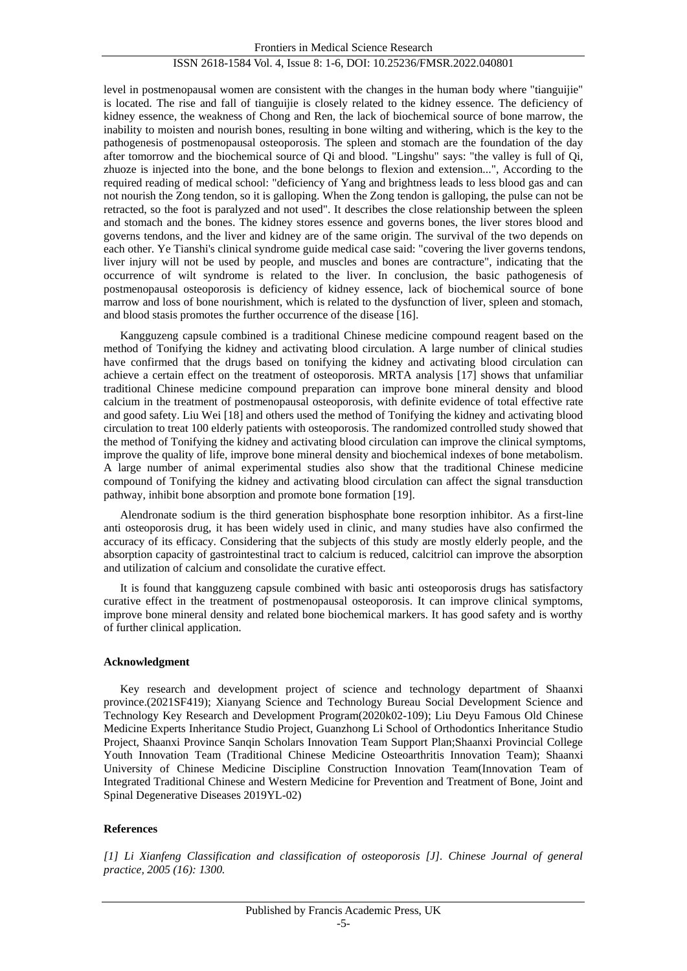level in postmenopausal women are consistent with the changes in the human body where "tianguijie" is located. The rise and fall of tianguijie is closely related to the kidney essence. The deficiency of kidney essence, the weakness of Chong and Ren, the lack of biochemical source of bone marrow, the inability to moisten and nourish bones, resulting in bone wilting and withering, which is the key to the pathogenesis of postmenopausal osteoporosis. The spleen and stomach are the foundation of the day after tomorrow and the biochemical source of Qi and blood. "Lingshu" says: "the valley is full of Qi, zhuoze is injected into the bone, and the bone belongs to flexion and extension...", According to the required reading of medical school: "deficiency of Yang and brightness leads to less blood gas and can not nourish the Zong tendon, so it is galloping. When the Zong tendon is galloping, the pulse can not be retracted, so the foot is paralyzed and not used". It describes the close relationship between the spleen and stomach and the bones. The kidney stores essence and governs bones, the liver stores blood and governs tendons, and the liver and kidney are of the same origin. The survival of the two depends on each other. Ye Tianshi's clinical syndrome guide medical case said: "covering the liver governs tendons, liver injury will not be used by people, and muscles and bones are contracture", indicating that the occurrence of wilt syndrome is related to the liver. In conclusion, the basic pathogenesis of postmenopausal osteoporosis is deficiency of kidney essence, lack of biochemical source of bone marrow and loss of bone nourishment, which is related to the dysfunction of liver, spleen and stomach, and blood stasis promotes the further occurrence of the disease [16].

Kangguzeng capsule combined is a traditional Chinese medicine compound reagent based on the method of Tonifying the kidney and activating blood circulation. A large number of clinical studies have confirmed that the drugs based on tonifying the kidney and activating blood circulation can achieve a certain effect on the treatment of osteoporosis. MRTA analysis [17] shows that unfamiliar traditional Chinese medicine compound preparation can improve bone mineral density and blood calcium in the treatment of postmenopausal osteoporosis, with definite evidence of total effective rate and good safety. Liu Wei [18] and others used the method of Tonifying the kidney and activating blood circulation to treat 100 elderly patients with osteoporosis. The randomized controlled study showed that the method of Tonifying the kidney and activating blood circulation can improve the clinical symptoms, improve the quality of life, improve bone mineral density and biochemical indexes of bone metabolism. A large number of animal experimental studies also show that the traditional Chinese medicine compound of Tonifying the kidney and activating blood circulation can affect the signal transduction pathway, inhibit bone absorption and promote bone formation [19].

Alendronate sodium is the third generation bisphosphate bone resorption inhibitor. As a first-line anti osteoporosis drug, it has been widely used in clinic, and many studies have also confirmed the accuracy of its efficacy. Considering that the subjects of this study are mostly elderly people, and the absorption capacity of gastrointestinal tract to calcium is reduced, calcitriol can improve the absorption and utilization of calcium and consolidate the curative effect.

It is found that kangguzeng capsule combined with basic anti osteoporosis drugs has satisfactory curative effect in the treatment of postmenopausal osteoporosis. It can improve clinical symptoms, improve bone mineral density and related bone biochemical markers. It has good safety and is worthy of further clinical application.

## **Acknowledgment**

Key research and development project of science and technology department of Shaanxi province.(2021SF419); Xianyang Science and Technology Bureau Social Development Science and Technology Key Research and Development Program(2020k02-109); Liu Deyu Famous Old Chinese Medicine Experts Inheritance Studio Project, Guanzhong Li School of Orthodontics Inheritance Studio Project, Shaanxi Province Sanqin Scholars Innovation Team Support Plan;Shaanxi Provincial College Youth Innovation Team (Traditional Chinese Medicine Osteoarthritis Innovation Team); Shaanxi University of Chinese Medicine Discipline Construction Innovation Team(Innovation Team of Integrated Traditional Chinese and Western Medicine for Prevention and Treatment of Bone, Joint and Spinal Degenerative Diseases 2019YL-02)

## **References**

*[1] Li Xianfeng Classification and classification of osteoporosis [J]. Chinese Journal of general practice, 2005 (16): 1300.*